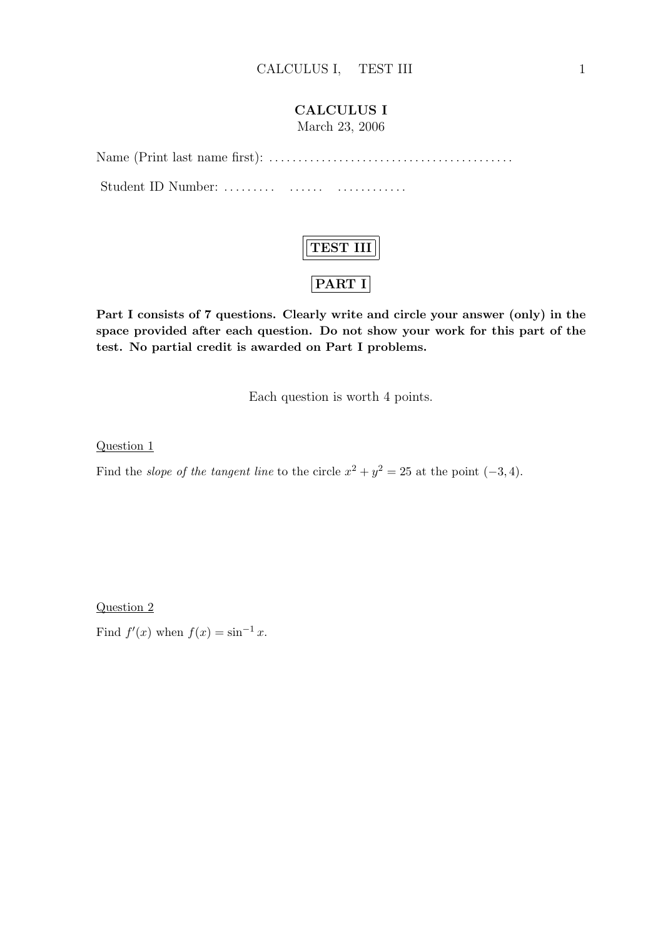### CALCULUS I

March 23, 2006

Name (Print last name first): . . . . . . . . . . . . . . . . . . . . . . . . . . . . . . . . . . . . . . . . . . Student ID Number: . . . . . . . . . . . . . . . . . . . . . . . . . . .



Part I consists of 7 questions. Clearly write and circle your answer (only) in the space provided after each question. Do not show your work for this part of the test. No partial credit is awarded on Part I problems.

Each question is worth 4 points.

Question 1

Find the *slope of the tangent line* to the circle  $x^2 + y^2 = 25$  at the point  $(-3, 4)$ .

Question 2

Find  $f'(x)$  when  $f(x) = \sin^{-1} x$ .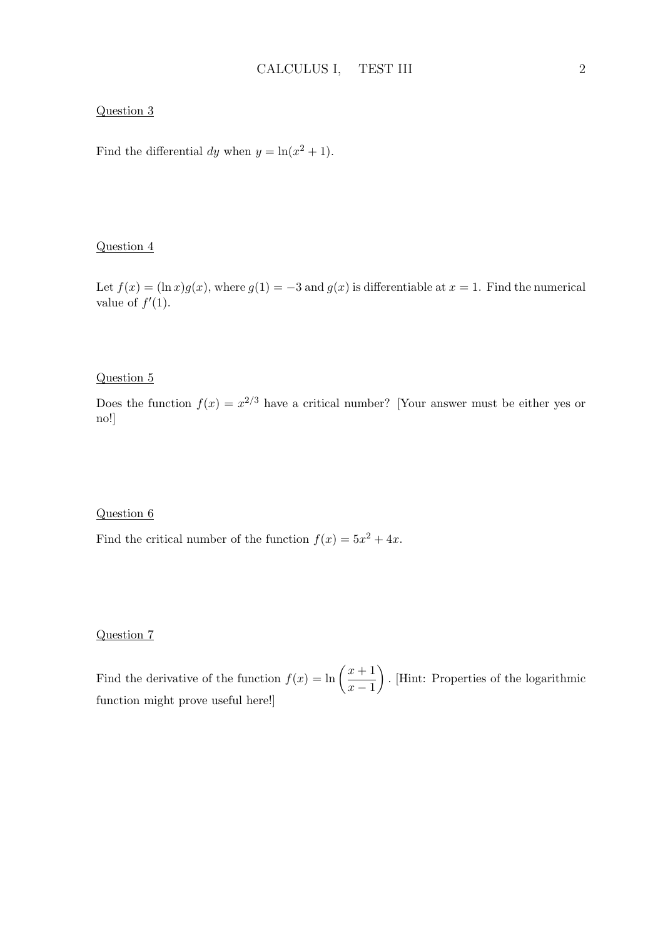#### Question 3

Find the differential dy when  $y = \ln(x^2 + 1)$ .

#### Question 4

Let  $f(x) = (\ln x)g(x)$ , where  $g(1) = -3$  and  $g(x)$  is differentiable at  $x = 1$ . Find the numerical value of  $f'(1)$ .

### Question 5

Does the function  $f(x) = x^{2/3}$  have a critical number? [Your answer must be either yes or no!]

#### Question 6

Find the critical number of the function  $f(x) = 5x^2 + 4x$ .

#### Question 7

Find the derivative of the function  $f(x) = \ln \left( \frac{x+1}{x+1} \right)$  $x - 1$  $\mathbf{r}$ . [Hint: Properties of the logarithmic function might prove useful here!]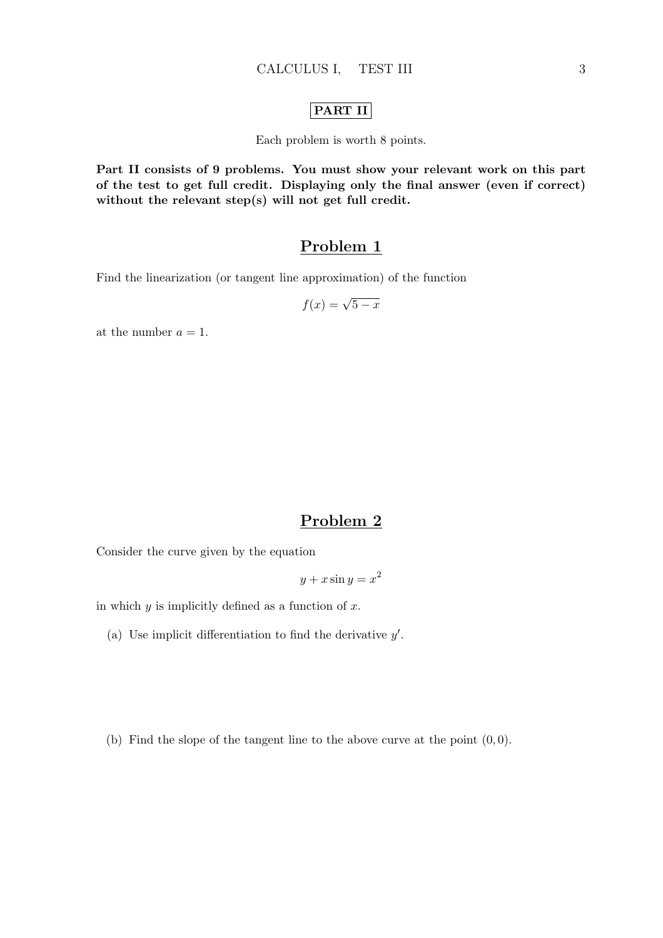### PART II

Each problem is worth 8 points.

Part II consists of 9 problems. You must show your relevant work on this part of the test to get full credit. Displaying only the final answer (even if correct) without the relevant step(s) will not get full credit.

# Problem 1

Find the linearization (or tangent line approximation) of the function

$$
f(x) = \sqrt{5 - x}
$$

at the number  $a = 1$ .

# Problem 2

Consider the curve given by the equation

$$
y + x \sin y = x^2
$$

in which  $y$  is implicitly defined as a function of  $x$ .

- (a) Use implicit differentiation to find the derivative  $y'$ .
- (b) Find the slope of the tangent line to the above curve at the point  $(0, 0)$ .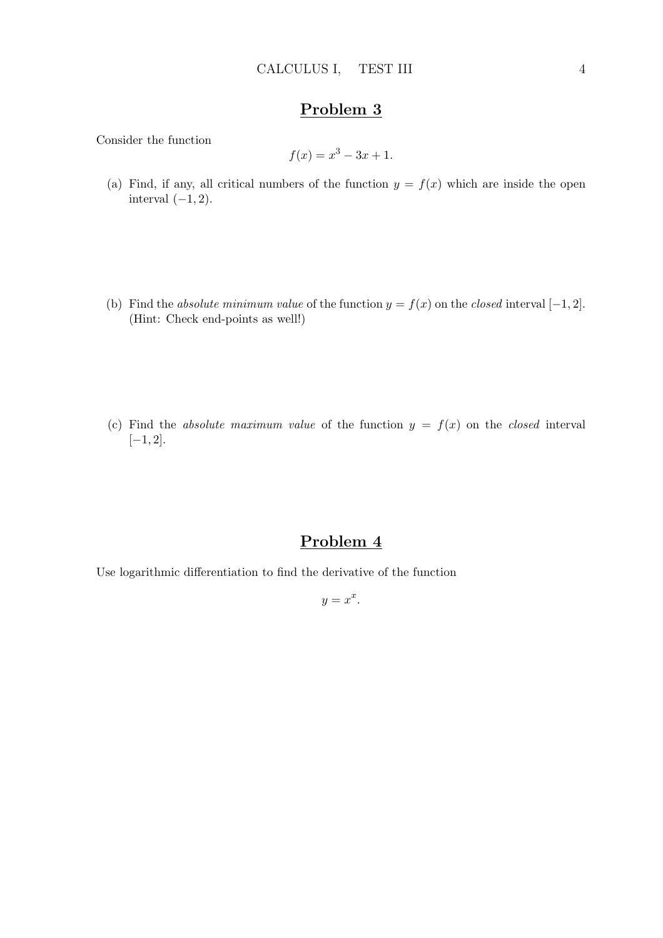Consider the function

$$
f(x) = x^3 - 3x + 1.
$$

- (a) Find, if any, all critical numbers of the function  $y = f(x)$  which are inside the open interval  $(-1, 2)$ .
- (b) Find the absolute minimum value of the function  $y = f(x)$  on the closed interval [−1, 2]. (Hint: Check end-points as well!)
- (c) Find the absolute maximum value of the function  $y = f(x)$  on the closed interval  $[-1, 2].$

## Problem 4

Use logarithmic differentiation to find the derivative of the function

 $y = x^x$ .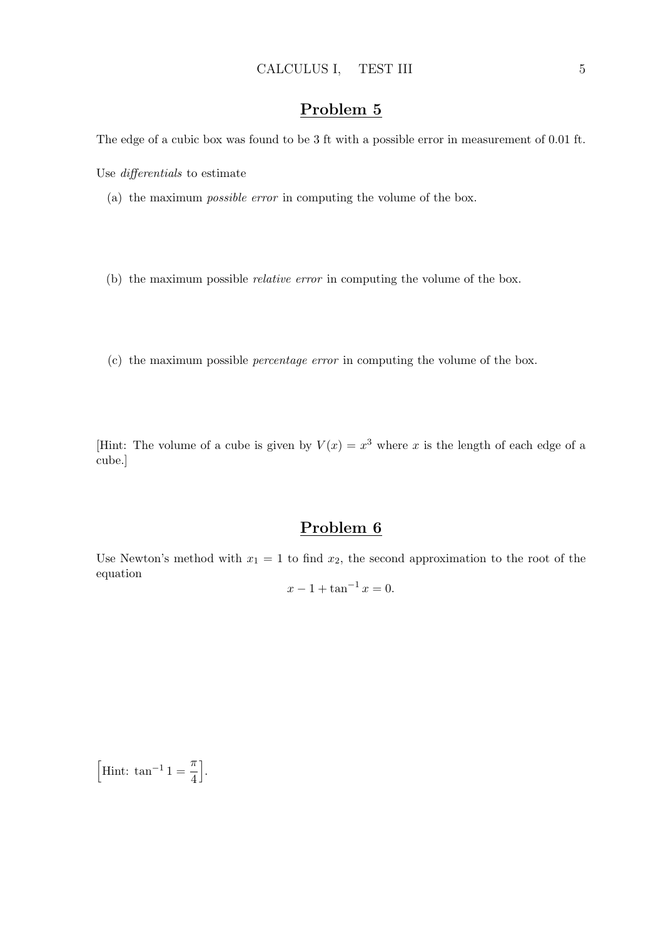The edge of a cubic box was found to be 3 ft with a possible error in measurement of 0.01 ft.

Use differentials to estimate

- (a) the maximum possible error in computing the volume of the box.
- (b) the maximum possible relative error in computing the volume of the box.
- (c) the maximum possible percentage error in computing the volume of the box.

[Hint: The volume of a cube is given by  $V(x) = x^3$  where x is the length of each edge of a cube.]

# Problem 6

Use Newton's method with  $x_1 = 1$  to find  $x_2$ , the second approximation to the root of the equation

$$
x - 1 + \tan^{-1} x = 0.
$$

h Hint:  $\tan^{-1} 1 = \frac{\pi}{4}$ 4 i .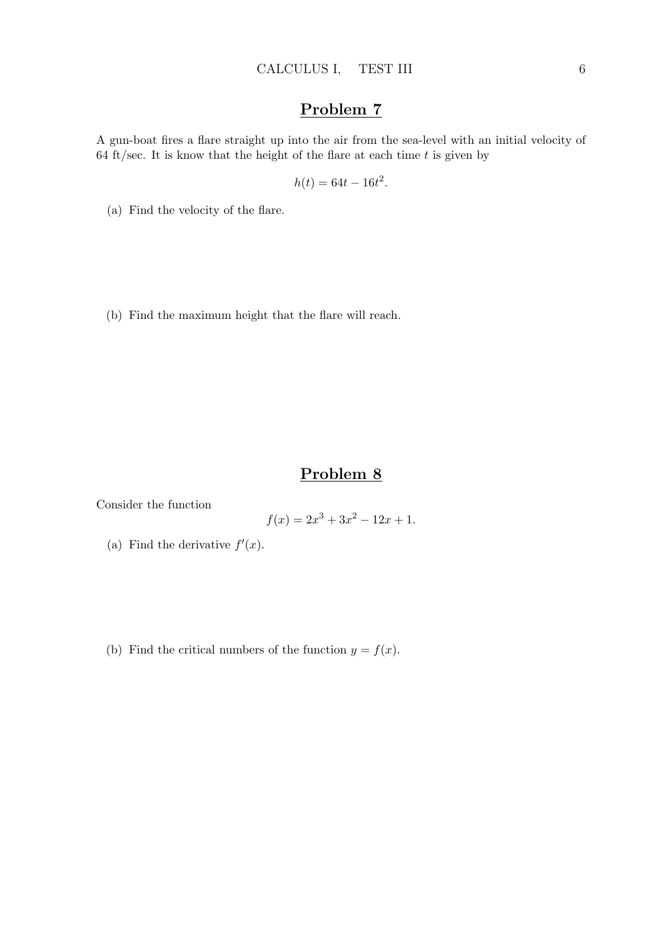A gun-boat fires a flare straight up into the air from the sea-level with an initial velocity of 64 ft/sec. It is know that the height of the flare at each time  $t$  is given by

$$
h(t) = 64t - 16t^2.
$$

(a) Find the velocity of the flare.

(b) Find the maximum height that the flare will reach.

# Problem 8

Consider the function

$$
f(x) = 2x^3 + 3x^2 - 12x + 1.
$$

- (a) Find the derivative  $f'(x)$ .
- (b) Find the critical numbers of the function  $y = f(x)$ .